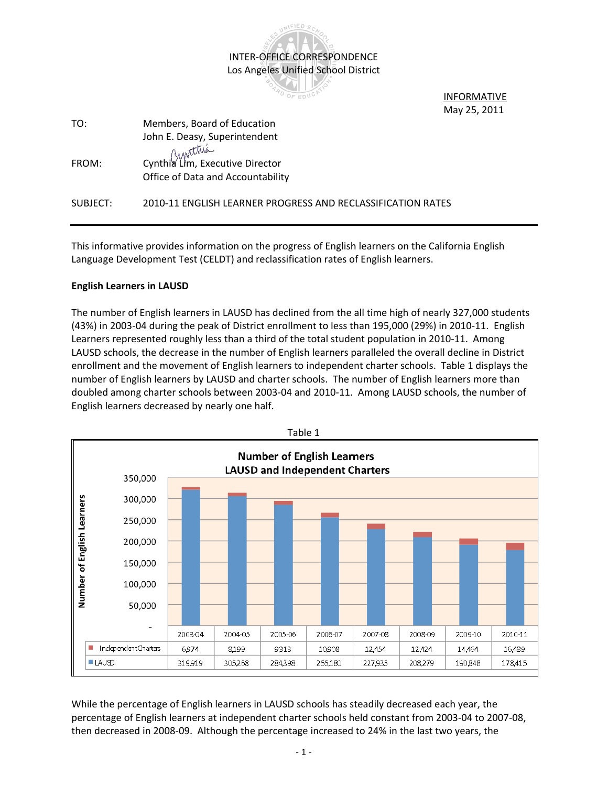

**INFORMATIVE** May 25, 2011

| TO:      | Members, Board of Education                                 |
|----------|-------------------------------------------------------------|
|          | John E. Deasy, Superintendent                               |
|          | Cynthia Lim, Executive Director                             |
| FROM:    |                                                             |
|          | Office of Data and Accountability                           |
|          |                                                             |
| SUBJECT: | 2010-11 ENGLISH LEARNER PROGRESS AND RECLASSIFICATION RATES |
|          |                                                             |

This informative provides information on the progress of English learners on the California English Language Development Test (CELDT) and reclassification rates of English learners.

# **English Learners in LAUSD**

The number of English learners in LAUSD has declined from the all time high of nearly 327,000 students (43%) in 2003-04 during the peak of District enrollment to less than 195,000 (29%) in 2010-11. English Learners represented roughly less than a third of the total student population in 2010-11. Among LAUSD schools, the decrease in the number of English learners paralleled the overall decline in District enrollment and the movement of English learners to independent charter schools. Table 1 displays the number of English learners by LAUSD and charter schools. The number of English learners more than doubled among charter schools between 2003-04 and 2010-11. Among LAUSD schools, the number of English learners decreased by nearly one half.



While the percentage of English learners in LAUSD schools has steadily decreased each year, the percentage of English learners at independent charter schools held constant from 2003-04 to 2007-08, then decreased in 2008-09. Although the percentage increased to 24% in the last two years, the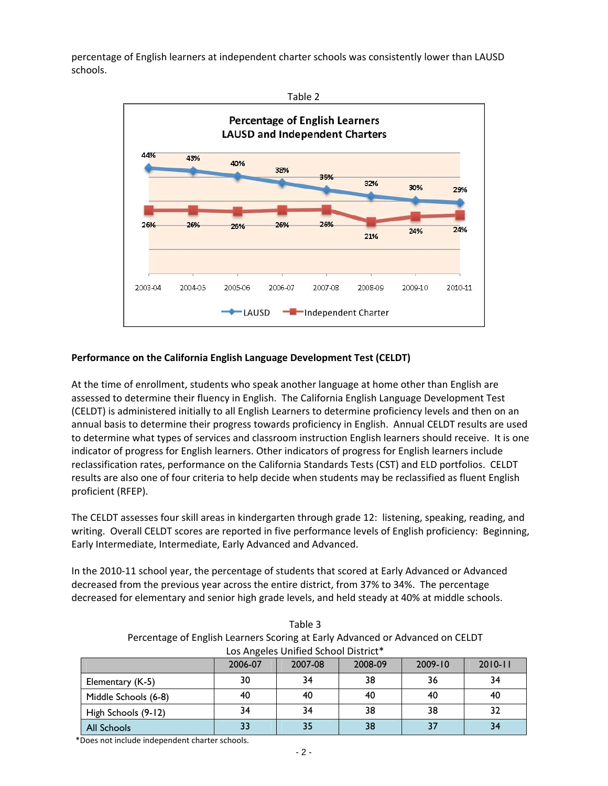percentage of English learners at independent charter schools was consistently lower than LAUSD schools.



# **Performance on the California English Language Development Test (CELDT)**

At the time of enrollment, students who speak another language at home other than English are assessed to determine their fluency in English. The California English Language Development Test (CELDT) is administered initially to all English Learners to determine proficiency levels and then on an annual basis to determine their progress towards proficiency in English. Annual CELDT results are used to determine what types of services and classroom instruction English learners should receive. It is one indicator of progress for English learners. Other indicators of progress for English learners include reclassification rates, performance on the California Standards Tests (CST) and ELD portfolios. CELDT results are also one of four criteria to help decide when students may be reclassified as fluent English proficient (RFEP).

The CELDT assesses four skill areas in kindergarten through grade 12: listening, speaking, reading, and writing. Overall CELDT scores are reported in five performance levels of English proficiency: Beginning, Early Intermediate, Intermediate, Early Advanced and Advanced.

In the 2010-11 school year, the percentage of students that scored at Early Advanced or Advanced decreased from the previous year across the entire district, from 37% to 34%. The percentage decreased for elementary and senior high grade levels, and held steady at 40% at middle schools.

| Los Angeles Unified School District* |         |         |         |             |             |  |  |  |
|--------------------------------------|---------|---------|---------|-------------|-------------|--|--|--|
|                                      | 2006-07 | 2007-08 | 2008-09 | $2009 - 10$ | $2010 - 11$ |  |  |  |
| Elementary (K-5)                     | 30      | 34      | 38      | 36          | 34          |  |  |  |
| Middle Schools (6-8)                 | 40      | 40      | 40      | 40          | 40          |  |  |  |
| High Schools (9-12)                  | 34      | 34      | 38      | 38          | 32          |  |  |  |
| <b>All Schools</b>                   |         | 35      | 38      |             |             |  |  |  |

Table 3 Percentage of English Learners Scoring at Early Advanced or Advanced on CELDT

\*Does not include independent charter schools.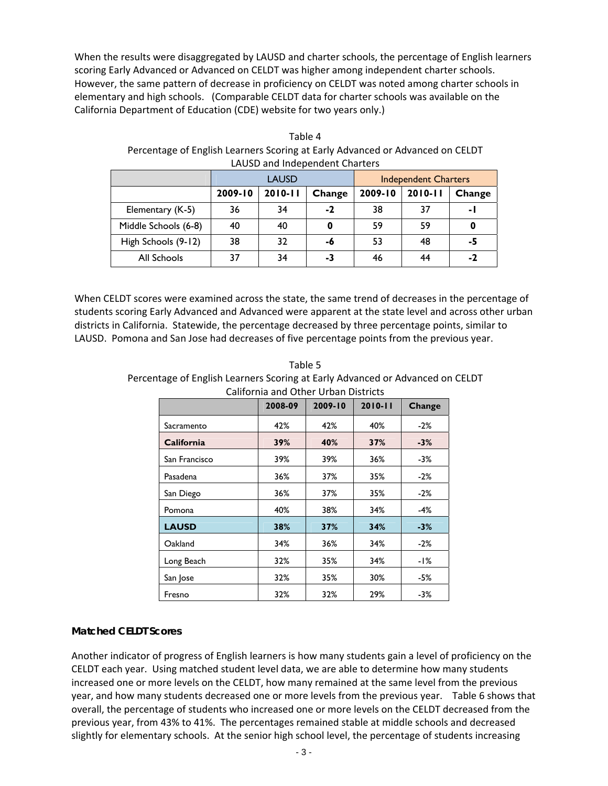When the results were disaggregated by LAUSD and charter schools, the percentage of English learners scoring Early Advanced or Advanced on CELDT was higher among independent charter schools. However, the same pattern of decrease in proficiency on CELDT was noted among charter schools in elementary and high schools. (Comparable CELDT data for charter schools was available on the California Department of Education (CDE) website for two years only.)

| LAUSD and muebendent Charlers |         |              |        |                             |             |                |  |
|-------------------------------|---------|--------------|--------|-----------------------------|-------------|----------------|--|
|                               |         | <b>LAUSD</b> |        | <b>Independent Charters</b> |             |                |  |
|                               | 2009-10 | $2010 - 11$  | Change | 2009-10                     | $2010 - 11$ | Change         |  |
| Elementary (K-5)              | 36      | 34           | $-2$   | 38                          | 37          | $\blacksquare$ |  |
| Middle Schools (6-8)          | 40      | 40           | 0      | 59                          | 59          |                |  |
| High Schools (9-12)           | 38      | 32           | -6     | 53                          | 48          | -5             |  |
| All Schools                   | 37      | 34           | -3     | 46                          | 44          | $-2$           |  |

Table 4 Percentage of English Learners Scoring at Early Advanced or Advanced on CELDT LAUSD and Independent Charters

When CELDT scores were examined across the state, the same trend of decreases in the percentage of students scoring Early Advanced and Advanced were apparent at the state level and across other urban districts in California. Statewide, the percentage decreased by three percentage points, similar to LAUSD. Pomona and San Jose had decreases of five percentage points from the previous year.

|                   | 2008-09 | 2009-10 | $2010 - 11$ | Change |
|-------------------|---------|---------|-------------|--------|
| Sacramento        | 42%     | 42%     | 40%         | $-2\%$ |
| <b>California</b> | 39%     | 40%     | 37%         | $-3%$  |
| San Francisco     | 39%     | 39%     | 36%         | -3%    |
| Pasadena          | 36%     | 37%     | 35%         | $-2\%$ |
| San Diego         | 36%     | 37%     | 35%         | $-2\%$ |
| Pomona            | 40%     | 38%     | 34%         | -4%    |
| <b>LAUSD</b>      | 38%     | 37%     | 34%         | $-3%$  |
| Oakland           | 34%     | 36%     | 34%         | $-2\%$ |
| Long Beach        | 32%     | 35%     | 34%         | -1%    |
| San Jose          | 32%     | 35%     | 30%         | -5%    |
| Fresno            | 32%     | 32%     | 29%         | -3%    |

Table 5 Percentage of English Learners Scoring at Early Advanced or Advanced on CELDT

# **Matched CELDT Scores**

Another indicator of progress of English learners is how many students gain a level of proficiency on the CELDT each year. Using matched student level data, we are able to determine how many students increased one or more levels on the CELDT, how many remained at the same level from the previous year, and how many students decreased one or more levels from the previous year. Table 6 shows that overall, the percentage of students who increased one or more levels on the CELDT decreased from the previous year, from 43% to 41%. The percentages remained stable at middle schools and decreased slightly for elementary schools. At the senior high school level, the percentage of students increasing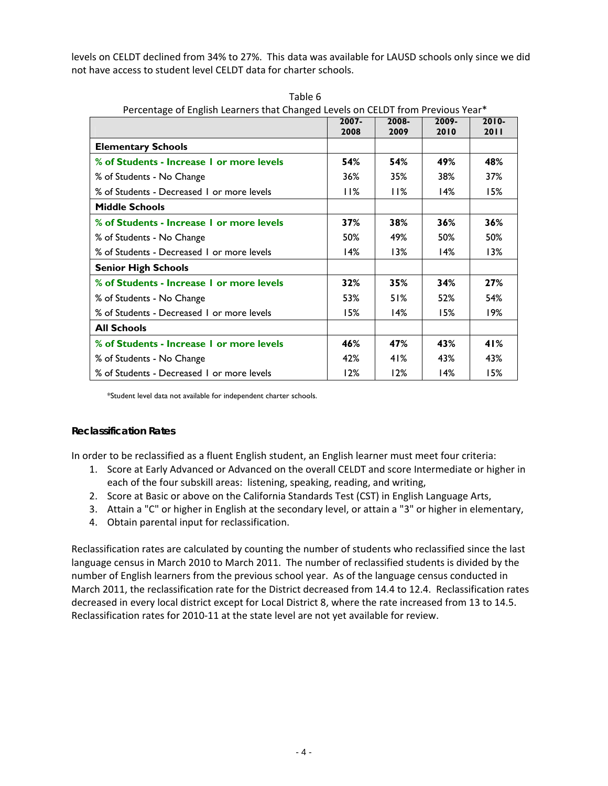levels on CELDT declined from 34% to 27%. This data was available for LAUSD schools only since we did not have access to student level CELDT data for charter schools.

|                                            |      | Pertentage of English Learners that Changed Levels on CELDT from Previous Team<br>$2007 -$<br>2008-<br>2009- |      |                  |  |  |
|--------------------------------------------|------|--------------------------------------------------------------------------------------------------------------|------|------------------|--|--|
|                                            | 2008 | 2009                                                                                                         | 2010 | $2010 -$<br>2011 |  |  |
| <b>Elementary Schools</b>                  |      |                                                                                                              |      |                  |  |  |
| % of Students - Increase 1 or more levels  | 54%  | 54%                                                                                                          | 49%  | 48%              |  |  |
| % of Students - No Change                  | 36%  | 35%                                                                                                          | 38%  | 37%              |  |  |
| % of Students - Decreased 1 or more levels | 11%  | 11%                                                                                                          | 14%  | 15%              |  |  |
| <b>Middle Schools</b>                      |      |                                                                                                              |      |                  |  |  |
| % of Students - Increase 1 or more levels  | 37%  | 38%                                                                                                          | 36%  | 36%              |  |  |
| % of Students - No Change                  | 50%  | 49%                                                                                                          | 50%  | 50%              |  |  |
| % of Students - Decreased 1 or more levels | 14%  | 13%                                                                                                          | 14%  | 13%              |  |  |
| <b>Senior High Schools</b>                 |      |                                                                                                              |      |                  |  |  |
| % of Students - Increase 1 or more levels  | 32%  | 35%                                                                                                          | 34%  | 27%              |  |  |
| % of Students - No Change                  | 53%  | 51%                                                                                                          | 52%  | 54%              |  |  |
| % of Students - Decreased 1 or more levels | 15%  | 14%                                                                                                          | 15%  | 19%              |  |  |
| <b>All Schools</b>                         |      |                                                                                                              |      |                  |  |  |
| % of Students - Increase 1 or more levels  | 46%  | 47%                                                                                                          | 43%  | 41%              |  |  |
| % of Students - No Change                  | 42%  | 41%                                                                                                          | 43%  | 43%              |  |  |
| % of Students - Decreased 1 or more levels | 12%  | 12%                                                                                                          | 14%  | 15%              |  |  |

Table 6 Percentage of English Learners that Changed Levels on CELDT from Previous Year\*

\*Student level data not available for independent charter schools.

# **Reclassification Rates**

In order to be reclassified as a fluent English student, an English learner must meet four criteria:

- 1. Score at Early Advanced or Advanced on the overall CELDT and score Intermediate or higher in each of the four subskill areas: listening, speaking, reading, and writing,
- 2. Score at Basic or above on the California Standards Test (CST) in English Language Arts,
- 3. Attain a "C" or higher in English at the secondary level, or attain a "3" or higher in elementary,
- 4. Obtain parental input for reclassification.

Reclassification rates are calculated by counting the number of students who reclassified since the last language census in March 2010 to March 2011. The number of reclassified students is divided by the number of English learners from the previous school year. As of the language census conducted in March 2011, the reclassification rate for the District decreased from 14.4 to 12.4. Reclassification rates decreased in every local district except for Local District 8, where the rate increased from 13 to 14.5. Reclassification rates for 2010-11 at the state level are not yet available for review.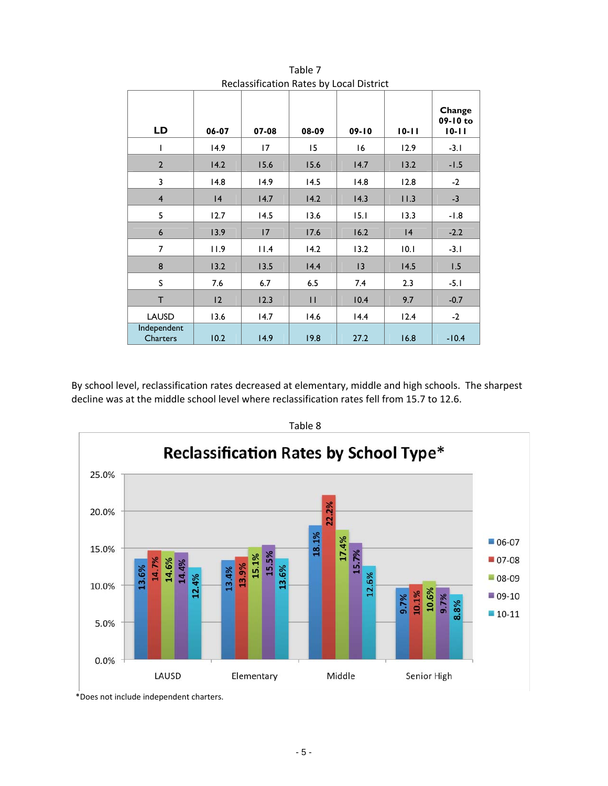| Reclassification Rates by Local District |       |       |       |           |           |                                 |  |
|------------------------------------------|-------|-------|-------|-----------|-----------|---------------------------------|--|
| LD                                       | 06-07 | 07-08 | 08-09 | $09 - 10$ | $10 - 11$ | Change<br>09-10 to<br>$10 - 11$ |  |
| ı                                        | 14.9  | 17    | 15    | 16        | 12.9      | $-3.1$                          |  |
| $\mathbf{2}$                             | 14.2  | 15.6  | 15.6  | 14.7      | 13.2      | $-1.5$                          |  |
| 3                                        | 14.8  | 14.9  | 14.5  | 14.8      | 12.8      | $-2$                            |  |
| $\overline{4}$                           | 4     | 14.7  | 14.2  | 14.3      | 11.3      | $-3$                            |  |
| 5                                        | 12.7  | 14.5  | 13.6  | 15.1      | 13.3      | $-1.8$                          |  |
| 6                                        | 13.9  | 17    | 17.6  | 16.2      | 4         | $-2.2$                          |  |
| 7                                        | 11.9  | 11.4  | 14.2  | 13.2      | 10.1      | $-3.1$                          |  |
| 8                                        | 13.2  | 13.5  | 14.4  | 3         | 14.5      | 1.5                             |  |
| S                                        | 7.6   | 6.7   | 6.5   | 7.4       | 2.3       | $-5.1$                          |  |
| T.                                       | 2     | 12.3  | П     | 10.4      | 9.7       | $-0.7$                          |  |
| <b>LAUSD</b>                             | 13.6  | 14.7  | 14.6  | 14.4      | 12.4      | $-2$                            |  |
| Independent<br>Charters                  | 10.2  | 14.9  | 19.8  | 27.2      | 16.8      | $-10.4$                         |  |

Table 7 Reclassification Rates by Local District

By school level, reclassification rates decreased at elementary, middle and high schools. The sharpest decline was at the middle school level where reclassification rates fell from 15.7 to 12.6.



Table 8

\*Does not include independent charters.